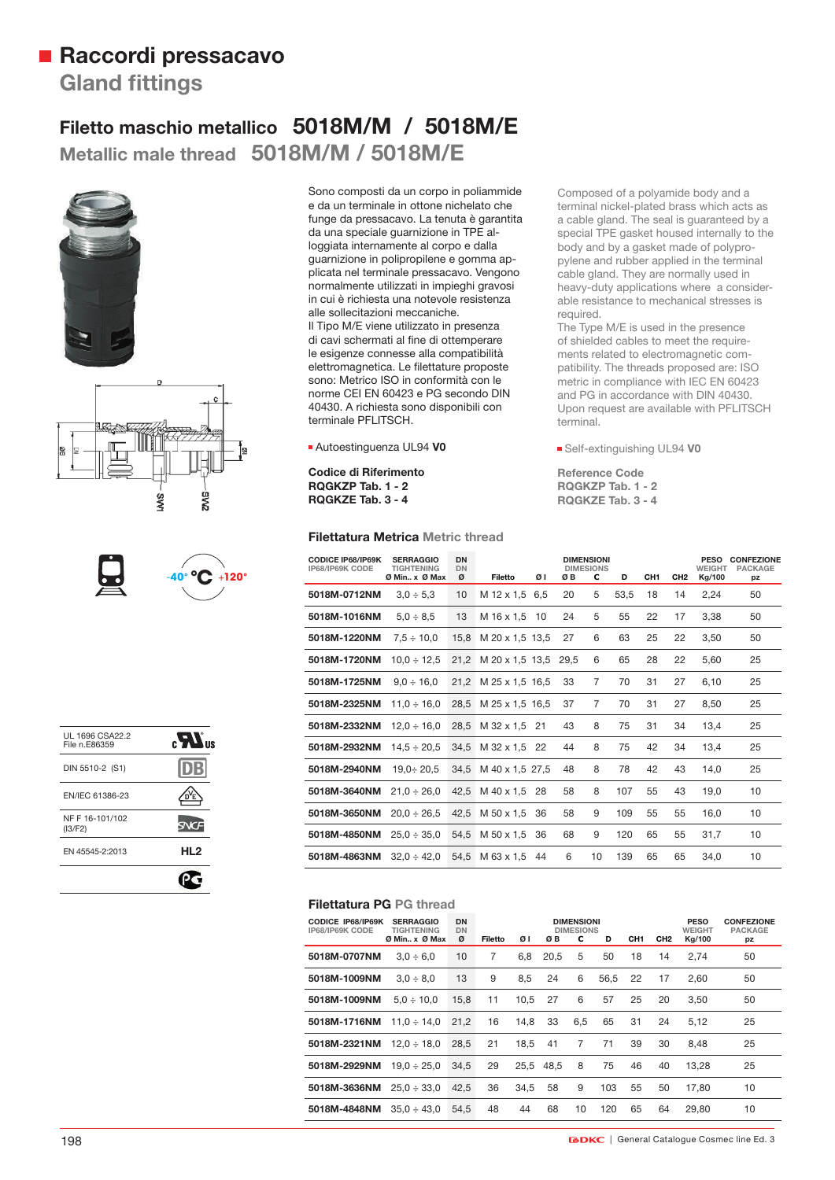## **Raccordi pressacavo Gland fittings**

### **Filetto maschio metallico 5018M/M / 5018M/E Metallic male thread 5018M/M / 5018M/E**









| UL 1696 CSA22.2<br>File n.E86359 | $_{\rm eff}$ $\boldsymbol{M}_{\rm a}$ |
|----------------------------------|---------------------------------------|
| DIN 5510-2 (S1)                  |                                       |
| EN/IEC 61386-23                  |                                       |
| NF F 16-101/102<br>(13/F2)       |                                       |
| EN 45545-2:2013                  | HL2                                   |
|                                  |                                       |

Sono composti da un corpo in poliammide e da un terminale in ottone nichelato che funge da pressacavo. La tenuta è garantita da una speciale guarnizione in TPE alloggiata internamente al corpo e dalla guarnizione in polipropilene e gomma applicata nel terminale pressacavo. Vengono normalmente utilizzati in impieghi gravosi in cui è richiesta una notevole resistenza alle sollecitazioni meccaniche. Il Tipo M/E viene utilizzato in presenza di cavi schermati al fine di ottemperare le esigenze connesse alla compatibilità elettromagnetica. Le filettature proposte sono: Metrico ISO in conformità con le norme CEI EN 60423 e PG secondo DIN 40430. A richiesta sono disponibili con terminale PFLITSCH.

Autoestinguenza UL94 **V0**

**Codice di Riferimento RQGKZP Tab. 1 - 2 RQGKZE Tab. 3 - 4**

#### **Filettatura Metrica Metric thread**

Composed of a polyamide body and a terminal nickel-plated brass which acts as a cable gland. The seal is guaranteed by a special TPE gasket housed internally to the body and by a gasket made of polypropylene and rubber applied in the terminal cable gland. They are normally used in heavy-duty applications where a considerable resistance to mechanical stresses is required.

The Type M/E is used in the presence of shielded cables to meet the requirements related to electromagnetic compatibility. The threads proposed are: ISO metric in compliance with IEC EN 60423 and PG in accordance with DIN 40430. Upon request are available with PFLITSCH terminal.

Self-extinguishing UL94 **V0**

**Reference Code RQGKZP Tab. 1 - 2 RQGKZE Tab. 3 - 4**

| <b>CODICE IP68/IP69K</b><br>IP68/IP69K CODE | <b>SERRAGGIO</b><br><b>TIGHTENING</b> | DN<br><b>DN</b> | <b>DIMENSIONI</b><br><b>DIMESIONS</b> |      |      |    |      |     | <b>PESO</b><br><b>WEIGHT</b> | <b>CONFEZIONE</b><br><b>PACKAGE</b> |    |
|---------------------------------------------|---------------------------------------|-----------------|---------------------------------------|------|------|----|------|-----|------------------------------|-------------------------------------|----|
|                                             | Ø Min., x Ø Max                       | ø               | Filetto                               | ØΙ   | øв   | c  | D    | CH1 | CH <sub>2</sub>              | Kg/100                              | pz |
| 5018M-0712NM                                | $3.0 \div 5.3$                        | 10              | M 12 x 1.5 6.5                        |      | 20   | 5  | 53,5 | 18  | 14                           | 2,24                                | 50 |
| 5018M-1016NM                                | $5.0 \div 8.5$                        | 13              | M 16 x 1.5                            | 10   | 24   | 5  | 55   | 22  | 17                           | 3,38                                | 50 |
| 5018M-1220NM                                | $7.5 \div 10.0$                       | 15,8            | M 20 x 1,5 13,5                       |      | 27   | 6  | 63   | 25  | 22                           | 3,50                                | 50 |
| 5018M-1720NM                                | $10.0 \div 12.5$                      | 21.2            | M 20 x 1,5 13,5                       |      | 29.5 | 6  | 65   | 28  | 22                           | 5,60                                | 25 |
| 5018M-1725NM                                | $9.0 \div 16.0$                       | 21.2            | M 25 x 1,5 16,5                       |      | 33   | 7  | 70   | 31  | 27                           | 6,10                                | 25 |
| 5018M-2325NM                                | $11.0 \div 16.0$                      | 28.5            | M 25 x 1,5 16,5                       |      | 37   | 7  | 70   | 31  | 27                           | 8,50                                | 25 |
| 5018M-2332NM                                | $12.0 \div 16.0$                      | 28.5            | M 32 x 1.5                            | - 21 | 43   | 8  | 75   | 31  | 34                           | 13,4                                | 25 |
| 5018M-2932NM                                | $14.5 \div 20.5$                      | 34.5            | M 32 x 1,5                            | 22   | 44   | 8  | 75   | 42  | 34                           | 13,4                                | 25 |
| 5018M-2940NM                                | $19.0 \div 20.5$                      | 34.5            | M 40 x 1,5 27,5                       |      | 48   | 8  | 78   | 42  | 43                           | 14,0                                | 25 |
| 5018M-3640NM                                | $21.0 \div 26.0$                      | 42.5            | M 40 x 1.5                            | 28   | 58   | 8  | 107  | 55  | 43                           | 19,0                                | 10 |
| 5018M-3650NM                                | $20.0 \div 26.5$                      | 42.5            | M 50 x 1.5                            | 36   | 58   | 9  | 109  | 55  | 55                           | 16,0                                | 10 |
| 5018M-4850NM                                | $25.0 \div 35.0$                      | 54.5            | M 50 x 1.5                            | 36   | 68   | 9  | 120  | 65  | 55                           | 31,7                                | 10 |
| 5018M-4863NM                                | $32.0 \div 42.0$                      | 54.5            | M 63 x 1.5                            | 44   | 6    | 10 | 139  | 65  | 65                           | 34.0                                | 10 |

#### **Filettatura PG PG thread**

| <b>CODICE IP68/IP69K</b><br>IP68/IP69K CODE | <b>SERRAGGIO</b><br><b>TIGHTENING</b><br>Ø Min., x Ø Max | <b>DN</b><br><b>DN</b><br>ø | Filetto | ØΙ   | ØΒ   | <b>DIMENSIONI</b><br><b>DIMESIONS</b><br>с | D    | CH <sub>1</sub> | CH <sub>2</sub> | <b>PESO</b><br><b>WEIGHT</b><br>Kg/100 | <b>CONFEZIONE</b><br><b>PACKAGE</b><br>pz |
|---------------------------------------------|----------------------------------------------------------|-----------------------------|---------|------|------|--------------------------------------------|------|-----------------|-----------------|----------------------------------------|-------------------------------------------|
| 5018M-0707NM                                | $3.0 \div 6.0$                                           | 10                          | 7       | 6.8  | 20.5 | 5                                          | 50   | 18              | 14              | 2.74                                   | 50                                        |
| 5018M-1009NM                                | $3.0 \div 8.0$                                           | 13                          | 9       | 8.5  | 24   | 6                                          | 56.5 | 22              | 17              | 2.60                                   | 50                                        |
| 5018M-1009NM                                | $5.0 \div 10.0$                                          | 15.8                        | 11      | 10.5 | 27   | 6                                          | 57   | 25              | 20              | 3.50                                   | 50                                        |
| 5018M-1716NM                                | $11.0 \div 14.0$                                         | 21.2                        | 16      | 14.8 | 33   | 6.5                                        | 65   | 31              | 24              | 5.12                                   | 25                                        |
| 5018M-2321NM                                | $12.0 \div 18.0$                                         | 28.5                        | 21      | 18.5 | 41   | 7                                          | 71   | 39              | 30              | 8.48                                   | 25                                        |
| 5018M-2929NM                                | $19.0 \div 25.0$                                         | 34.5                        | 29      | 25.5 | 48.5 | 8                                          | 75   | 46              | 40              | 13.28                                  | 25                                        |
| 5018M-3636NM                                | $25.0 \div 33.0$                                         | 42.5                        | 36      | 34.5 | 58   | 9                                          | 103  | 55              | 50              | 17.80                                  | 10                                        |
| 5018M-4848NM                                | $35.0 \div 43.0$                                         | 54.5                        | 48      | 44   | 68   | 10                                         | 120  | 65              | 64              | 29.80                                  | 10                                        |